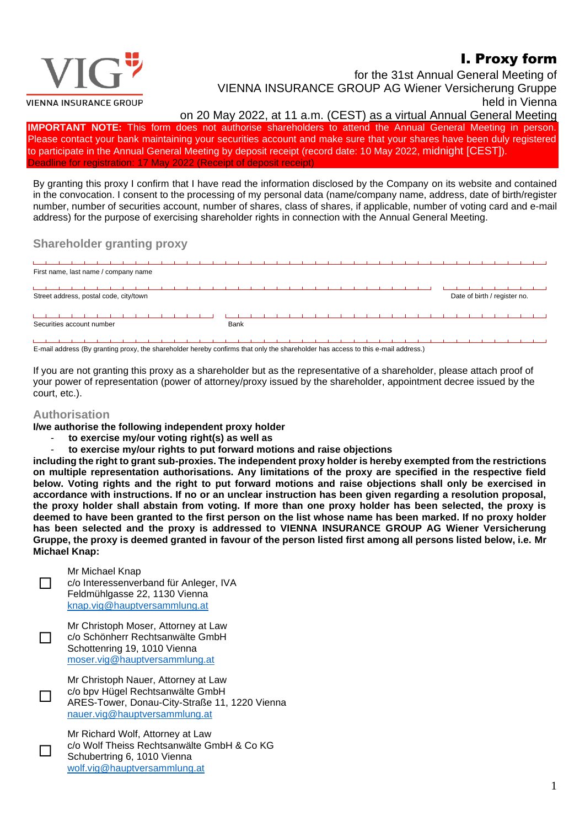## I. Proxy form



for the 31st Annual General Meeting of VIENNA INSURANCE GROUP AG Wiener Versicherung Gruppe held in Vienna

on 20 May 2022, at 11 a.m. (CEST) as a virtual Annual General Meeting

**IMPORTANT NOTE:** This form does not authorise shareholders to attend the Annual General Meeting in person. Please contact your bank maintaining your securities account and make sure that your shares have been duly registered to participate in the Annual General Meeting by deposit receipt (record date: 10 May 2022, midnight [CEST]). Deadline for registration: 17 May 2022 (Receipt of deposit receipt)

By granting this proxy I confirm that I have read the information disclosed by the Company on its website and contained in the convocation. I consent to the processing of my personal data (name/company name, address, date of birth/register number, number of securities account, number of shares, class of shares, if applicable, number of voting card and e-mail address) for the purpose of exercising shareholder rights in connection with the Annual General Meeting.

## **Shareholder granting proxy**

| First name, last name / company name |                                                                        |  |  |  |  |  |  |  |  |  |      |  |  |  |  |  |  |  |  |  |  |  |  |
|--------------------------------------|------------------------------------------------------------------------|--|--|--|--|--|--|--|--|--|------|--|--|--|--|--|--|--|--|--|--|--|--|
|                                      |                                                                        |  |  |  |  |  |  |  |  |  |      |  |  |  |  |  |  |  |  |  |  |  |  |
|                                      | Street address, postal code, city/town<br>Date of birth / register no. |  |  |  |  |  |  |  |  |  |      |  |  |  |  |  |  |  |  |  |  |  |  |
|                                      |                                                                        |  |  |  |  |  |  |  |  |  |      |  |  |  |  |  |  |  |  |  |  |  |  |
| Securities account number            |                                                                        |  |  |  |  |  |  |  |  |  | Bank |  |  |  |  |  |  |  |  |  |  |  |  |
|                                      |                                                                        |  |  |  |  |  |  |  |  |  |      |  |  |  |  |  |  |  |  |  |  |  |  |

E-mail address (By granting proxy, the shareholder hereby confirms that only the shareholder has access to this e-mail address.)

If you are not granting this proxy as a shareholder but as the representative of a shareholder, please attach proof of your power of representation (power of attorney/proxy issued by the shareholder, appointment decree issued by the court, etc.).

## **Authorisation**

 $\Box$ 

П

**I/we authorise the following independent proxy holder**

- **to exercise my/our voting right(s) as well as**
- **to exercise my/our rights to put forward motions and raise objections**

**including the right to grant sub-proxies. The independent proxy holder is hereby exempted from the restrictions on multiple representation authorisations. Any limitations of the proxy are specified in the respective field below. Voting rights and the right to put forward motions and raise objections shall only be exercised in accordance with instructions. If no or an unclear instruction has been given regarding a resolution proposal, the proxy holder shall abstain from voting. If more than one proxy holder has been selected, the proxy is deemed to have been granted to the first person on the list whose name has been marked. If no proxy holder has been selected and the proxy is addressed to VIENNA INSURANCE GROUP AG Wiener Versicherung Gruppe, the proxy is deemed granted in favour of the person listed first among all persons listed below, i.e. Mr Michael Knap:**



c/o bpv Hügel Rechtsanwälte GmbH ARES-Tower, Donau-City-Straße 11, 1220 Vienna [nauer.vig@hauptversammlung.at](mailto:nauer.vig@hauptversammlung.at)

Mr Richard Wolf, Attorney at Law c/o Wolf Theiss Rechtsanwälte GmbH & Co KG Schubertring 6, 1010 Vienna [wolf.vig@hauptversammlung.at](mailto:wolf.vig@hauptversammlung.at)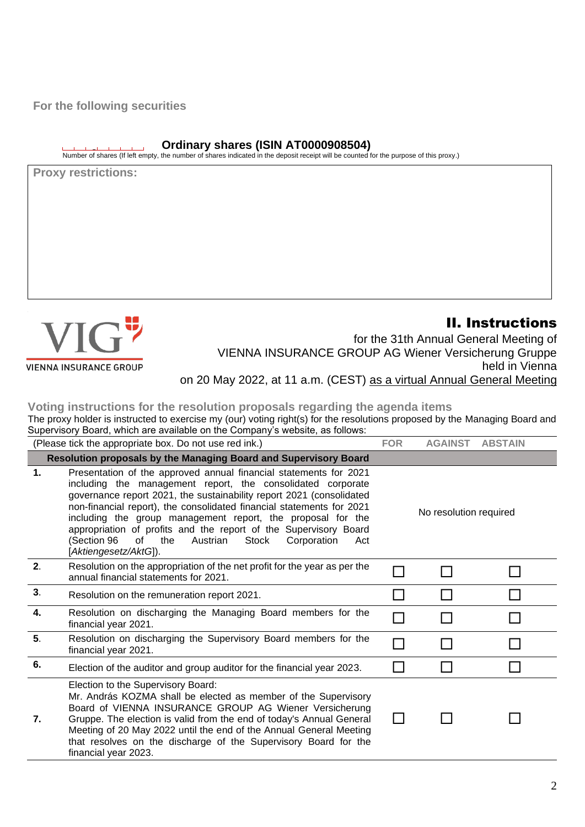**For the following securities**

## **Ordinary shares (ISIN AT0000908504)**

Number of shares (If left empty, the number of shares indicated in the deposit receipt will be counted for the purpose of this proxy.)

**Proxy restrictions:**



**VIENNA INSURANCE GROUP** 

II. Instructions for the 31th Annual General Meeting of VIENNA INSURANCE GROUP AG Wiener Versicherung Gruppe held in Vienna on 20 May 2022, at 11 a.m. (CEST) as a virtual Annual General Meeting

**Voting instructions for the resolution proposals regarding the agenda items**

The proxy holder is instructed to exercise my (our) voting right(s) for the resolutions proposed by the Managing Board and Supervisory Board, which are available on the Company's website, as follows:

|               | (Please tick the appropriate box. Do not use red ink.)                                                                                                                                                                                                                                                                                                                                                                                                                                                               | <b>FOR</b>             | <b>AGAINST</b> | <b>ABSTAIN</b> |  |  |
|---------------|----------------------------------------------------------------------------------------------------------------------------------------------------------------------------------------------------------------------------------------------------------------------------------------------------------------------------------------------------------------------------------------------------------------------------------------------------------------------------------------------------------------------|------------------------|----------------|----------------|--|--|
|               | Resolution proposals by the Managing Board and Supervisory Board                                                                                                                                                                                                                                                                                                                                                                                                                                                     |                        |                |                |  |  |
| $\mathbf 1$ . | Presentation of the approved annual financial statements for 2021<br>including the management report, the consolidated corporate<br>governance report 2021, the sustainability report 2021 (consolidated<br>non-financial report), the consolidated financial statements for 2021<br>including the group management report, the proposal for the<br>appropriation of profits and the report of the Supervisory Board<br>Stock<br>(Section 96<br>of<br>the<br>Austrian<br>Corporation<br>Act<br>[Aktiengesetz/AktG]). | No resolution required |                |                |  |  |
| 2.            | Resolution on the appropriation of the net profit for the year as per the<br>annual financial statements for 2021.                                                                                                                                                                                                                                                                                                                                                                                                   |                        |                |                |  |  |
| 3.            | Resolution on the remuneration report 2021.                                                                                                                                                                                                                                                                                                                                                                                                                                                                          |                        |                |                |  |  |
| 4.            | Resolution on discharging the Managing Board members for the<br>financial year 2021.                                                                                                                                                                                                                                                                                                                                                                                                                                 |                        |                |                |  |  |
| 5.            | Resolution on discharging the Supervisory Board members for the<br>financial year 2021.                                                                                                                                                                                                                                                                                                                                                                                                                              |                        |                |                |  |  |
| 6.            | Election of the auditor and group auditor for the financial year 2023.                                                                                                                                                                                                                                                                                                                                                                                                                                               |                        |                |                |  |  |
| 7.            | Election to the Supervisory Board:<br>Mr. András KOZMA shall be elected as member of the Supervisory<br>Board of VIENNA INSURANCE GROUP AG Wiener Versicherung<br>Gruppe. The election is valid from the end of today's Annual General<br>Meeting of 20 May 2022 until the end of the Annual General Meeting<br>that resolves on the discharge of the Supervisory Board for the<br>financial year 2023.                                                                                                              | $\mathsf{L}$           |                |                |  |  |